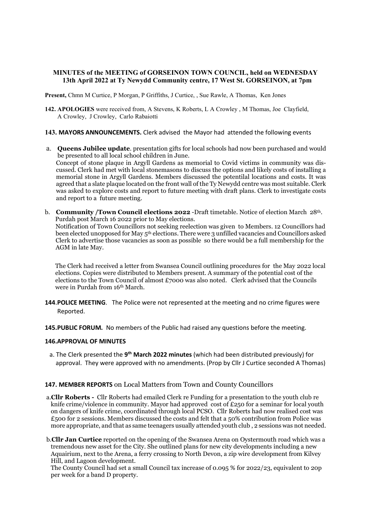# MINUTES of the MEETING of GORSEINON TOWN COUNCIL, held on WEDNESDAY 13th April 2022 at Ty Newydd Community centre, 17 West St. GORSEINON, at 7pm

Present, Chmn M Curtice, P Morgan, P Griffiths, J Curtice, , Sue Rawle, A Thomas, Ken Jones

- 142. APOLOGIES were received from, A Stevens, K Roberts, L A Crowley , M Thomas, Joe Clayfield, A Crowley, J Crowley, Carlo Rabaiotti
- 143. MAYORS ANNOUNCEMENTS. Clerk advised the Mayor had attended the following events
- a. Queens Jubilee update. presentation gifts for local schools had now been purchased and would be presented to all local school children in June. Concept of stone plaque in Argyll Gardens as memorial to Covid victims in community was discussed. Clerk had met with local stonemasons to discuss the options and likely costs of installing a memorial stone in Argyll Gardens. Members discussed the potentilal locations and costs. It was agreed that a slate plaque located on the front wall of the Ty Newydd centre was most suitable. Clerk was asked to explore costs and report to future meeting with draft plans. Clerk to investigate costs and report to a future meeting.
- b. Community /Town Council elections 2022 -Draft timetable. Notice of election March 28th. Purdah post March 16 2022 prior to May elections. Notification of Town Councillors not seeking reelection was given to Members. 12 Councillors had been elected unopposed for May 5<sup>th</sup> elections. There were 3 unfilled vacancies and Councillors asked Clerk to advertise those vacancies as soon as possible so there would be a full membership for the AGM in late May.

 The Clerk had received a letter from Swansea Council outlining procedures for the May 2022 local elections. Copies were distributed to Members present. A summary of the potential cost of the elections to the Town Council of almost  $£7000$  was also noted. Clerk advised that the Councils were in Purdah from 16th March.

- 144. POLICE MEETING. The Police were not represented at the meeting and no crime figures were Reported.
- 145. PUBLIC FORUM. No members of the Public had raised any questions before the meeting.

#### 146.APPROVAL OF MINUTES

a. The Clerk presented the 9<sup>th</sup> March 2022 minutes (which had been distributed previously) for approval. They were approved with no amendments. (Prop by Cllr J Curtice seconded A Thomas)

#### 147. MEMBER REPORTS on Local Matters from Town and County Councillors

- a.Cllr Roberts Cllr Roberts had emailed Clerk re Funding for a presentation to the youth club re knife crime/violence in community. Mayor had approved cost of  $E250$  for a seminar for local youth on dangers of knife crime, coordinated through local PCSO. Cllr Roberts had now realised cost was £500 for 2 sessions. Members discussed the costs and felt that a 50% contribution from Police was more appropriate, and that as same teenagers usually attended youth club , 2 sessions was not needed.
- b.Cllr Jan Curtice reported on the opening of the Swansea Arena on Oystermouth road which was a tremendous new asset for the City. She outlined plans for new city developments including a new Aquairium, next to the Arena, a ferry crossing to North Devon, a zip wire development from Kilvey Hill, and Lagoon development.
	- The County Council had set a small Council tax increase of 0.095 % for 2022/23, equivalent to 20p per week for a band D property.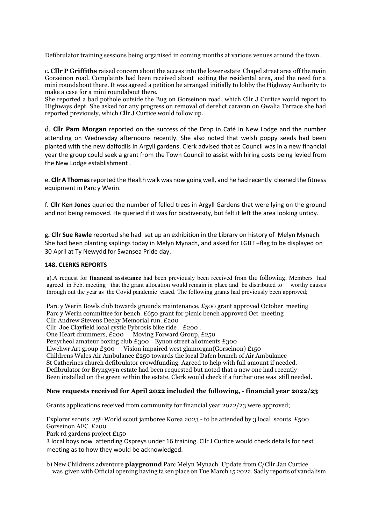Defibrulator training sessions being organised in coming months at various venues around the town.

c. Cllr P Griffiths raised concern about the access into the lower estate Chapel street area off the main Gorseinon road. Complaints had been received about exiting the residental area, and the need for a mini roundabout there. It was agreed a petition be arranged initially to lobby the Highway Authority to make a case for a mini roundabout there.

She reported a bad pothole outside the Bug on Gorseinon road, which Cllr J Curtice would report to Highways dept. She asked for any progress on removal of derelict caravan on Gwalia Terrace she had reported previously, which Cllr J Curtice would follow up.

d. Cllr Pam Morgan reported on the success of the Drop in Café in New Lodge and the number attending on Wednesday afternoons recently. She also noted that welsh poppy seeds had been planted with the new daffodils in Argyll gardens. Clerk advised that as Council was in a new financial year the group could seek a grant from the Town Council to assist with hiring costs being levied from the New Lodge establishment .

e. Cllr A Thomas reported the Health walk was now going well, and he had recently cleaned the fitness equipment in Parc y Werin.

f. Cllr Ken Jones queried the number of felled trees in Argyll Gardens that were lying on the ground and not being removed. He queried if it was for biodiversity, but felt it left the area looking untidy.

g. Cllr Sue Rawle reported she had set up an exhibition in the Library on history of Melyn Mynach. She had been planting saplings today in Melyn Mynach, and asked for LGBT +flag to be displayed on 30 April at Ty Newydd for Swansea Pride day.

# 148. CLERKS REPORTS

a).A request for financial assistance had been previously been received from the following. Members had agreed in Feb. meeting that the grant allocation would remain in place and be distributed to worthy causes through out the year as the Covid pandemic eased. The following grants had previously been approved;

 Parc y Werin Bowls club towards grounds maintenance, £500 grant approved October meeting Parc y Werin committee for bench. £650 grant for picnic bench approved Oct meeting Cllr Andrew Stevens Decky Memorial run. £200

Cllr Joe Clayfield local cystic Fybrosis bike ride . £200 .

One Heart drummers, £200 Moving Forward Group, £250

Penyrheol amateur boxing club.£300 Eynon street allotments £300

Llwchwr Art group £300 Vision impaired west glamorgan(Gorseinon) £150

Childrens Wales Air Ambulance £250 towards the local Dafen branch of Air Ambulance

St Catherines church defibrulator crowdfunding. Agreed to help with full amount if needed.

Defibrulator for Bryngwyn estate had been requested but noted that a new one had recently

Been installed on the green within the estate. Clerk would check if a further one was still needed.

#### New requests received for April 2022 included the following, - financial year 2022/23

Grants applications received from community for financial year 2022/23 were approved;

Explorer scouts  $25<sup>th</sup>$  World scout jamboree Korea 2023 - to be attended by 3 local scouts £500 Gorseinon AFC £200

Park rd gardens project £150

 3 local boys now attending Ospreys under 16 training. Cllr J Curtice would check details for next meeting as to how they would be acknowledged.

b) New Childrens adventure **playground** Parc Melyn Mynach. Update from C/Cllr Jan Curtice was given with Official opening having taken place on Tue March 15 2022. Sadly reports of vandalism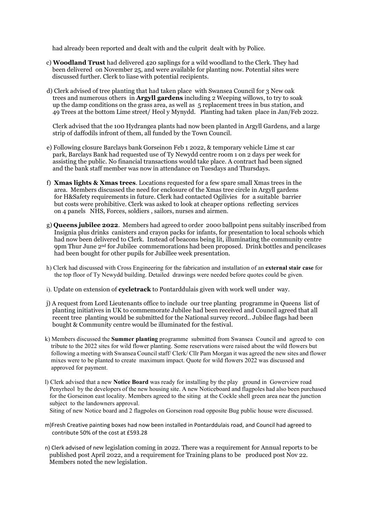had already been reported and dealt with and the culprit dealt with by Police.

- c) Woodland Trust had delivered 420 saplings for a wild woodland to the Clerk. They had been delivered on November 25, and were available for planting now. Potential sites were discussed further. Clerk to liase with potential recipients.
- d) Clerk advised of tree planting that had taken place with Swansea Council for 3 New oak trees and numerous others in Argyll gardens including 2 Weeping willows, to try to soak up the damp conditions on the grass area, as well as 5 replacement trees in bus station, and 49 Trees at the bottom Lime street/ Heol y Mynydd. Planting had taken place in Jan/Feb 2022.

 Clerk advised that the 100 Hydrangea plants had now been planted in Argyll Gardens, and a large strip of daffodils infront of them, all funded by the Town Council.

- e) Following closure Barclays bank Gorseinon Feb 1 2022, & temporary vehicle Lime st car park, Barclays Bank had requested use of Ty Newydd centre room 1 on 2 days per week for assisting the public. No financial transactions would take place. A contract had been signed and the bank staff member was now in attendance on Tuesdays and Thursdays.
- f) **Xmas lights & Xmas trees.** Locations requested for a few spare small Xmas trees in the area. Members discussed the need for enclosure of the Xmas tree circle in Argyll gardens for H&Safety requirements in future. Clerk had contacted Ogilivies for a suitable barrier but costs were prohibitive. Clerk was asked to look at cheaper options reflecting services on 4 panels NHS, Forces, soldiers , sailors, nurses and airmen.
- g) Queens jubilee 2022. Members had agreed to order 2000 ballpoint pens suitably inscribed from Insignia plus drinks canisters and crayon packs for infants, for presentation to local schools which had now been delivered to Clerk. Instead of beacons being lit, illuminating the community centre  $9$ pm Thur June  $2<sup>nd</sup>$  for Jubilee commemorations had been proposed. Drink bottles and pencilcases had been bought for other pupils for Jubillee week presentation.
- h) Clerk had discussed with Cross Engineering for the fabrication and installation of an external stair case for the top floor of Ty Newydd building. Detailed drawings were needed before quotes could be given.
- i). Update on extension of **cycletrack** to Pontarddulais given with work well under way.
- j) A request from Lord Lieutenants office to include our tree planting programme in Queens list of planting initiatives in UK to commemorate Jubilee had been received and Council agreed that all recent tree planting would be submitted for the National survey record.. Jubilee flags had been bought & Community centre would be illuminated for the festival.
- k) Members discussed the Summer planting programme submitted from Swansea Council and agreed to con tribute to the 2022 sites for wild flower planting. Some reservations were raised about the wild flowers but following a meeting with Swansea Council staff/ Clerk/ Cllr Pam Morgan it was agreed the new sites and flower mixes were to be planted to create maximum impact. Quote for wild flowers 2022 was discussed and approved for payment.
- l) Clerk advised that a new Notice Board was ready for installing by the play ground in Gowerview road Penyrheol by the developers of the new housing site. A new Noticeboard and flagpoles had also been purchased for the Gorseinon east locality. Members agreed to the siting at the Cockle shell green area near the junction subject to the landowners approval.

Siting of new Notice board and 2 flagpoles on Gorseinon road opposite Bug public house were discussed.

- m)Fresh Creative painting boxes had now been installed in Pontarddulais road, and Council had agreed to contribute 50% of the cost at £593.28
- n) Clerk advised of new legislation coming in 2022. There was a requirement for Annual reports to be published post April 2022, and a requirement for Training plans to be produced post Nov 22. Members noted the new legislation.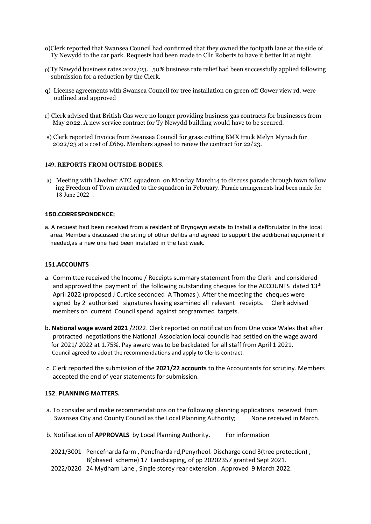- o)Clerk reported that Swansea Council had confirmed that they owned the footpath lane at the side of Ty Newydd to the car park. Requests had been made to Cllr Roberts to have it better lit at night.
- p) Ty Newydd business rates 2022/23. 50% business rate relief had been successfully applied following submission for a reduction by the Clerk.
- q) License agreements with Swansea Council for tree installation on green off Gower view rd. were outlined and approved
- r) Clerk advised that British Gas were no longer providing business gas contracts for businesses from May 2022. A new service contract for Ty Newydd building would have to be secured.
- s) Clerk reported Invoice from Swansea Council for grass cutting BMX track Melyn Mynach for  $2022/23$  at a cost of £669. Members agreed to renew the contract for 22/23.

#### 149. REPORTS FROM OUTSIDE BODIES.

a) Meeting with Llwchwr ATC squadron on Monday March14 to discuss parade through town follow ing Freedom of Town awarded to the squadron in February. Parade arrangements had been made for 18 June 2022 .

### 150.CORRESPONDENCE;

a. A request had been received from a resident of Bryngwyn estate to install a defibrulator in the local area. Members discussed the siting of other defibs and agreed to support the additional equipment if needed,as a new one had been installed in the last week.

# 151.ACCOUNTS

- a. Committee received the Income / Receipts summary statement from the Clerk and considered and approved the payment of the following outstanding cheques for the ACCOUNTS dated  $13<sup>th</sup>$  April 2022 (proposed J Curtice seconded A Thomas ). After the meeting the cheques were signed by 2 authorised signatures having examined all relevant receipts. Clerk advised members on current Council spend against programmed targets.
- b. National wage award 2021 /2022. Clerk reported on notification from One voice Wales that after protracted negotiations the National Association local councils had settled on the wage award for 2021/ 2022 at 1.75%. Pay award was to be backdated for all staff from April 1 2021. Council agreed to adopt the recommendations and apply to Clerks contract.
- c. Clerk reported the submission of the 2021/22 accounts to the Accountants for scrutiny. Members accepted the end of year statements for submission.

# 152. PLANNING MATTERS.

- a. To consider and make recommendations on the following planning applications received from Swansea City and County Council as the Local Planning Authority; None received in March.
- b. Notification of **APPROVALS** by Local Planning Authority. For information
- 2021/3001 Pencefnarda farm , Pencfnarda rd,Penyrheol. Discharge cond 3(tree protection) , 8(phased scheme) 17 Landscaping, of pp 20202357 granted Sept 2021.
- 2022/0220 24 Mydham Lane , Single storey rear extension . Approved 9 March 2022.